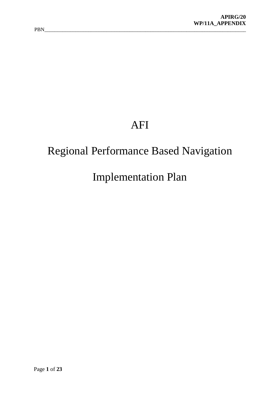# AFI

## Regional Performance Based Navigation

## Implementation Plan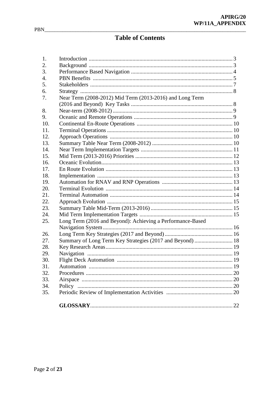### **Table of Contents**

| 1.               |                                                            |  |
|------------------|------------------------------------------------------------|--|
| 2.               |                                                            |  |
| 3.               |                                                            |  |
| $\overline{4}$ . |                                                            |  |
| 5.               |                                                            |  |
| 6.               |                                                            |  |
| 7.               | Near Term (2008-2012) Mid Term (2013-2016) and Long Term   |  |
|                  |                                                            |  |
| 8.               |                                                            |  |
| 9.               |                                                            |  |
| 10.              |                                                            |  |
| 11.              |                                                            |  |
| 12.              |                                                            |  |
| 13.              |                                                            |  |
| 14.              |                                                            |  |
| 15.              |                                                            |  |
| 16.              |                                                            |  |
| 17.              |                                                            |  |
| 18.              |                                                            |  |
| 19.              |                                                            |  |
| 20.              |                                                            |  |
| 21.              |                                                            |  |
| 22.              |                                                            |  |
| 23.              |                                                            |  |
| 24.              |                                                            |  |
| 25.              | Long Term (2016 and Beyond): Achieving a Performance-Based |  |
|                  |                                                            |  |
| 26.              |                                                            |  |
| 27.              | Summary of Long Term Key Strategies (2017 and Beyond)  18  |  |
| 28.              |                                                            |  |
| 29.              |                                                            |  |
| 30.              |                                                            |  |
| 31.              |                                                            |  |
| 32.              |                                                            |  |
| 33.              |                                                            |  |
| 34.              |                                                            |  |
| 35.              |                                                            |  |
|                  |                                                            |  |
|                  |                                                            |  |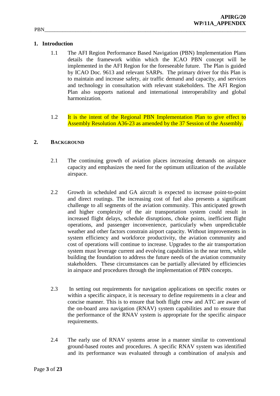#### **1. Introduction**

- 1.1 The AFI Region Performance Based Navigation (PBN) Implementation Plans details the framework within which the ICAO PBN concept will be implemented in the AFI Region for the foreseeable future. The Plan is guided by ICAO Doc. 9613 and relevant SARPs. The primary driver for this Plan is to maintain and increase safety, air traffic demand and capacity, and services and technology in consultation with relevant stakeholders. The AFI Region Plan also supports national and international interoperability and global harmonization.
- 1.2 It is the intent of the Regional PBN Implementation Plan to give effect to Assembly Resolution A36-23 as amended by the 37 Session of the Assembly.

#### **2. BACKGROUND**

- 2.1 The continuing growth of aviation places increasing demands on airspace capacity and emphasizes the need for the optimum utilization of the available airspace.
- 2.2 Growth in scheduled and GA aircraft is expected to increase point-to-point and direct routings. The increasing cost of fuel also presents a significant challenge to all segments of the aviation community. This anticipated growth and higher complexity of the air transportation system could result in increased flight delays, schedule disruptions, choke points, inefficient flight operations, and passenger inconvenience, particularly when unpredictable weather and other factors constrain airport capacity. Without improvements in system efficiency and workforce productivity, the aviation community and cost of operations will continue to increase. Upgrades to the air transportation system must leverage current and evolving capabilities in the near term, while building the foundation to address the future needs of the aviation community stakeholders. These circumstances can be partially alleviated by efficiencies in airspace and procedures through the implementation of PBN concepts.
- 2.3 In setting out requirements for navigation applications on specific routes or within a specific airspace, it is necessary to define requirements in a clear and concise manner. This is to ensure that both flight crew and ATC are aware of the on-board area navigation (RNAV) system capabilities and to ensure that the performance of the RNAV system is appropriate for the specific airspace requirements.
- 2.4 The early use of RNAV systems arose in a manner similar to conventional ground-based routes and procedures. A specific RNAV system was identified and its performance was evaluated through a combination of analysis and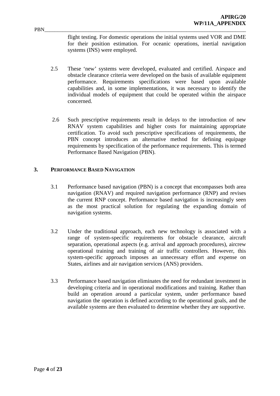flight testing. For domestic operations the initial systems used VOR and DME for their position estimation. For oceanic operations, inertial navigation systems (INS) were employed.

- 2.5 These 'new' systems were developed, evaluated and certified. Airspace and obstacle clearance criteria were developed on the basis of available equipment performance. Requirements specifications were based upon available capabilities and, in some implementations, it was necessary to identify the individual models of equipment that could be operated within the airspace concerned.
- 2.6 Such prescriptive requirements result in delays to the introduction of new RNAV system capabilities and higher costs for maintaining appropriate certification. To avoid such prescriptive specifications of requirements, the PBN concept introduces an alternative method for defining equipage requirements by specification of the performance requirements. This is termed Performance Based Navigation (PBN).

#### **3. PERFORMANCE BASED NAVIGATION**

- 3.1 Performance based navigation (PBN) is a concept that encompasses both area navigation (RNAV) and required navigation performance (RNP) and revises the current RNP concept. Performance based navigation is increasingly seen as the most practical solution for regulating the expanding domain of navigation systems.
- 3.2 Under the traditional approach, each new technology is associated with a range of system-specific requirements for obstacle clearance, aircraft separation, operational aspects (e.g. arrival and approach procedures), aircrew operational training and training of air traffic controllers. However, this system-specific approach imposes an unnecessary effort and expense on States, airlines and air navigation services (ANS) providers.
- 3.3 Performance based navigation eliminates the need for redundant investment in developing criteria and in operational modifications and training. Rather than build an operation around a particular system, under performance based navigation the operation is defined according to the operational goals, and the available systems are then evaluated to determine whether they are supportive.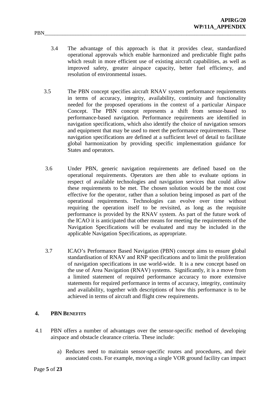- 3.4 The advantage of this approach is that it provides clear, standardized operational approvals which enable harmonized and predictable flight paths which result in more efficient use of existing aircraft capabilities, as well as improved safety, greater airspace capacity, better fuel efficiency, and resolution of environmental issues.
- 3.5 The PBN concept specifies aircraft RNAV system performance requirements in terms of accuracy, integrity, availability, continuity and functionality needed for the proposed operations in the context of a particular Airspace Concept. The PBN concept represents a shift from sensor-based to performance-based navigation. Performance requirements are identified in navigation specifications, which also identify the choice of navigation sensors and equipment that may be used to meet the performance requirements. These navigation specifications are defined at a sufficient level of detail to facilitate global harmonization by providing specific implementation guidance for States and operators.
- 3.6 Under PBN, generic navigation requirements are defined based on the operational requirements. Operators are then able to evaluate options in respect of available technologies and navigation services that could allow these requirements to be met. The chosen solution would be the most cost effective for the operator, rather than a solution being imposed as part of the operational requirements. Technologies can evolve over time without requiring the operation itself to be revisited, as long as the requisite performance is provided by the RNAV system. As part of the future work of the ICAO it is anticipated that other means for meeting the requirements of the Navigation Specifications will be evaluated and may be included in the applicable Navigation Specifications, as appropriate.
- 3.7 ICAO's Performance Based Navigation (PBN) concept aims to ensure global standardisation of RNAV and RNP specifications and to limit the proliferation of navigation specifications in use world-wide. It is a new concept based on the use of Area Navigation (RNAV) systems. Significantly, it is a move from a limited statement of required performance accuracy to more extensive statements for required performance in terms of accuracy, integrity, continuity and availability, together with descriptions of how this performance is to be achieved in terms of aircraft and flight crew requirements.

#### **4. PBN BENEFITS**

- 4.1 PBN offers a number of advantages over the sensor-specific method of developing airspace and obstacle clearance criteria. These include:
	- a) Reduces need to maintain sensor-specific routes and procedures, and their associated costs. For example, moving a single VOR ground facility can impact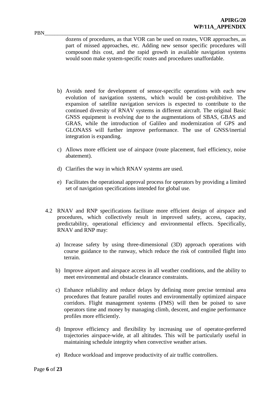dozens of procedures, as that VOR can be used on routes, VOR approaches, as part of missed approaches, etc. Adding new sensor specific procedures will compound this cost, and the rapid growth in available navigation systems would soon make system-specific routes and procedures unaffordable.

- b) Avoids need for development of sensor-specific operations with each new evolution of navigation systems, which would be cost-prohibitive. The expansion of satellite navigation services is expected to contribute to the continued diversity of RNAV systems in different aircraft. The original Basic GNSS equipment is evolving due to the augmentations of SBAS, GBAS and GRAS, while the introduction of Galileo and modernization of GPS and GLONASS will further improve performance. The use of GNSS/inertial integration is expanding.
- c) Allows more efficient use of airspace (route placement, fuel efficiency, noise abatement).
- d) Clarifies the way in which RNAV systems are used.
- e) Facilitates the operational approval process for operators by providing a limited set of navigation specifications intended for global use.
- 4.2 RNAV and RNP specifications facilitate more efficient design of airspace and procedures, which collectively result in improved safety, access, capacity, predictability, operational efficiency and environmental effects. Specifically, RNAV and RNP may:
	- a) Increase safety by using three-dimensional (3D) approach operations with course guidance to the runway, which reduce the risk of controlled flight into terrain.
	- b) Improve airport and airspace access in all weather conditions, and the ability to meet environmental and obstacle clearance constraints.
	- c) Enhance reliability and reduce delays by defining more precise terminal area procedures that feature parallel routes and environmentally optimized airspace corridors. Flight management systems (FMS) will then be poised to save operators time and money by managing climb, descent, and engine performance profiles more efficiently.
	- d) Improve efficiency and flexibility by increasing use of operator-preferred trajectories airspace-wide, at all altitudes. This will be particularly useful in maintaining schedule integrity when convective weather arises.
	- e) Reduce workload and improve productivity of air traffic controllers.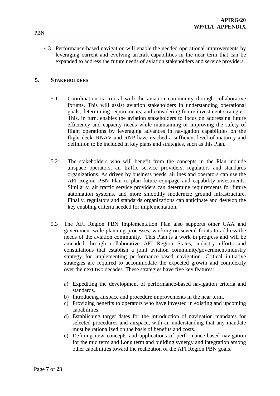4.3 Performance-based navigation will enable the needed operational improvements by leveraging current and evolving aircraft capabilities in the near term that can be expanded to address the future needs of aviation stakeholders and service providers.

#### **5. STAKEHOLDERS**

- 5.1 Coordination is critical with the aviation community through collaborative forums. This will assist aviation stakeholders in understanding operational goals, determining requirements, and considering future investment strategies. This, in turn, enables the aviation stakeholders to focus on addressing future efficiency and capacity needs while maintaining or improving the safety of flight operations by leveraging advances in navigation capabilities on the flight deck. RNAV and RNP have reached a sufficient level of maturity and definition to be included in key plans and strategies, such as this Plan.
- 5.2 The stakeholders who will benefit from the concepts in the Plan include airspace operators, air traffic service providers, regulators and standards organizations. As driven by business needs, airlines and operators can use the AFI Region PBN Plan to plan future equipage and capability investments. Similarly, air traffic service providers can determine requirements for future automation systems, and more smoothly modernize ground infrastructure. Finally, regulators and standards organizations can anticipate and develop the key enabling criteria needed for implementation.
- 5.3 The AFI Region PBN Implementation Plan also supports other CAA and government-wide planning processes, working on several fronts to address the needs of the aviation community. This Plan is a work in progress and will be amended through collaborative AFI Region States, industry efforts and consultations that establish a joint aviation community/government/industry strategy for implementing performance-based navigation. Critical initiative strategies are required to accommodate the expected growth and complexity over the next two decades. These strategies have five key features:
	- a) Expediting the development of performance-based navigation criteria and standards.
	- b) Introducing airspace and procedure improvements in the near term.
	- c) Providing benefits to operators who have invested in existing and upcoming capabilities.
	- d) Establishing target dates for the introduction of navigation mandates for selected procedures and airspace, with an understanding that any mandate must be rationalized on the basis of benefits and costs.
	- e) Defining new concepts and applications of performance-based navigation for the mid term and Long term and building synergy and integration among other capabilities toward the realization of the AFI Region PBN goals.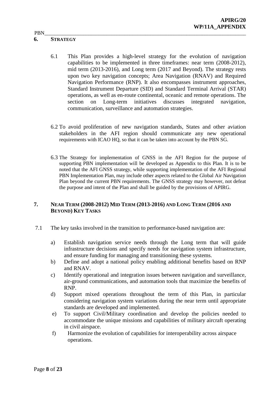#### **6. STRATEGY**

- 6.1 This Plan provides a high-level strategy for the evolution of navigation capabilities to be implemented in three timeframes: near term (2008-2012), mid term (2013-2016), and Long term (2017 and Beyond). The strategy rests upon two key navigation concepts; Area Navigation (RNAV) and Required Navigation Performance (RNP). It also encompasses instrument approaches, Standard Instrument Departure (SID) and Standard Terminal Arrival (STAR) operations, as well as en-route continental, oceanic and remote operations. The section on Long-term initiatives discusses integrated navigation, communication, surveillance and automation strategies.
- 6.2 To avoid proliferation of new navigation standards, States and other aviation stakeholders in the AFI region should communicate any new operational requirements with ICAO HQ, so that it can be taken into account by the PBN SG.
- 6.3 The Strategy for implementation of GNSS in the AFI Region for the purpose of supporting PBN implementation will be developed as Appendix to this Plan. It is to be noted that the AFI GNSS strategy, while supporting implementation of the AFI Regional PBN Implementation Plan, may include other aspects related to the Global Air Navigation Plan beyond the current PBN requirements. The GNSS strategy may however, not defeat the purpose and intent of the Plan and shall be guided by the provisions of APIRG.

#### **7. NEAR TERM (2008-2012) MID TERM (2013-2016) AND LONG TERM (2016 AND BEYOND) KEY TASKS**

- 7.1 The key tasks involved in the transition to performance-based navigation are:
	- a) Establish navigation service needs through the Long term that will guide infrastructure decisions and specify needs for navigation system infrastructure, and ensure funding for managing and transitioning these systems.
	- b) Define and adopt a national policy enabling additional benefits based on RNP and RNAV.
	- c) Identify operational and integration issues between navigation and surveillance, air-ground communications, and automation tools that maximize the benefits of RNP.
	- d) Support mixed operations throughout the term of this Plan, in particular considering navigation system variations during the near term until appropriate standards are developed and implemented.
	- e) To support Civil/Military coordination and develop the policies needed to accommodate the unique missions and capabilities of military aircraft operating in civil airspace.
	- f) Harmonize the evolution of capabilities for interoperability across airspace operations.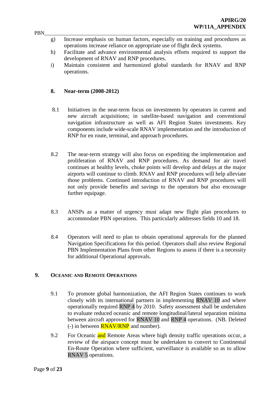- PBN\_\_\_\_\_\_\_\_\_\_\_\_\_\_\_\_\_\_\_\_\_\_\_\_\_\_\_\_\_\_\_\_\_\_\_\_\_\_\_\_\_\_\_\_\_\_\_\_\_\_\_\_\_\_\_\_\_\_\_\_\_\_\_\_\_\_\_\_\_\_\_\_\_\_\_\_\_\_ g) Increase emphasis on human factors, especially on training and procedures as operations increase reliance on appropriate use of flight deck systems.
	- h) Facilitate and advance environmental analysis efforts required to support the development of RNAV and RNP procedures.
	- i) Maintain consistent and harmonized global standards for RNAV and RNP operations.

#### **8. Near-term (2008-2012)**

- 8.1 Initiatives in the near-term focus on investments by operators in current and new aircraft acquisitions; in satellite-based navigation and conventional navigation infrastructure as well as AFI Region States investments. Key components include wide-scale RNAV implementation and the introduction of RNP for en route, terminal, and approach procedures.
- 8.2 The near-term strategy will also focus on expediting the implementation and proliferation of RNAV and RNP procedures. As demand for air travel continues at healthy levels, choke points will develop and delays at the major airports will continue to climb. RNAV and RNP procedures will help alleviate those problems. Continued introduction of RNAV and RNP procedures will not only provide benefits and savings to the operators but also encourage further equipage.
- 8.3 ANSPs as a matter of urgency must adapt new flight plan procedures to accommodate PBN operations. This particularly addresses fields 10 and 18.
- 8.4 Operators will need to plan to obtain operational approvals for the planned Navigation Specifications for this period. Operators shall also review Regional PBN Implementation Plans from other Regions to assess if there is a necessity for additional Operational approvals.

#### **9. OCEANIC AND REMOTE OPERATIONS**

- 9.1 To promote global harmonization, the AFI Region States continues to work closely with its international partners in implementing RNAV 10 and where operationally required RNP 4 by 2010. Safety assessment shall be undertaken to evaluate reduced oceanic and remote longitudinal/lateral separation minima between aircraft approved for RNAV 10 and RNP 4 operations. (NB. Deleted (-) in between  $\overline{RNAV/RNP}$  and number).
- 9.2 For Oceanic and Remote Areas where high density traffic operations occur, a review of the airspace concept must be undertaken to convert to Continental En-Route Operation where sufficient, surveillance is available so as to allow RNAV 5 operations.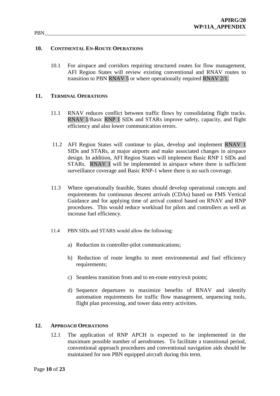#### **10. CONTINENTAL EN-ROUTE OPERATIONS**

10.1 For airspace and corridors requiring structured routes for flow management, AFI Region States will review existing conventional and RNAV routes to transition to PBN RNAV 5 or where operationally required RNAV 2/1.

#### **11. TERMINAL OPERATIONS**

- 11.1 RNAV reduces conflict between traffic flows by consolidating flight tracks. RNAV 1/Basic RNP 1 SIDs and STARs improve safety, capacity, and flight efficiency and also lower communication errors.
- 11.2 AFI Region States will continue to plan, develop and implement RNAV 1 SIDs and STARs, at major airports and make associated changes in airspace design. In addition, AFI Region States will implement Basic RNP 1 SIDs and STARs. RNAV 1 will be implemented in airspace where there is sufficient surveillance coverage and Basic RNP-1 where there is no such coverage.
- 11.3 Where operationally feasible, States should develop operational concepts and requirements for continuous descent arrivals (CDAs) based on FMS Vertical Guidance and for applying time of arrival control based on RNAV and RNP procedures. This would reduce workload for pilots and controllers as well as increase fuel efficiency.
- 11.4 PBN SIDs and STARS would allow the following:
	- a) Reduction in controller-pilot communications;
	- b) Reduction of route lengths to meet environmental and fuel efficiency requirements;
	- c) Seamless transition from and to en-route entry/exit points;
	- d) Sequence departures to maximize benefits of RNAV and identify automation requirements for traffic flow management, sequencing tools, flight plan processing, and tower data entry activities.

#### **12. APPROACH OPERATIONS**

12.1 The application of RNP APCH is expected to be implemented in the maximum possible number of aerodromes. To facilitate a transitional period, conventional approach procedures and conventional navigation aids should be maintained for non PBN equipped aircraft during this term.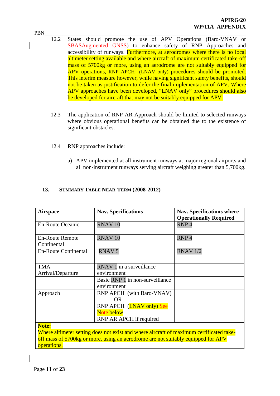- PBN\_\_\_\_\_\_\_\_\_\_\_\_\_\_\_\_\_\_\_\_\_\_\_\_\_\_\_\_\_\_\_\_\_\_\_\_\_\_\_\_\_\_\_\_\_\_\_\_\_\_\_\_\_\_\_\_\_\_\_\_\_\_\_\_\_\_\_\_\_\_\_\_\_\_\_\_\_\_ 12.2 States should promote the use of APV Operations (Baro-VNAV or SBASAugmented GNSS) to enhance safety of RNP Approaches and accessibility of runways. Furthermore, at aerodromes where there is no local altimeter setting available and where aircraft of maximum certificated take-off mass of 5700kg or more, using an aerodrome are not suitably equipped for APV operations, RNP APCH (LNAV only) procedures should be promoted. This interim measure however, while having significant safety benefits, should not be taken as justification to defer the final implementation of APV. Where APV approaches have been developed, "LNAV only" procedures should also be developed for aircraft that may not be suitably equipped for APV.
	- 12.3 The application of RNP AR Approach should be limited to selected runways where obvious operational benefits can be obtained due to the existence of significant obstacles.
	- 12.4 RNP approaches include:
		- a) APV implemented at all instrument runways at major regional airports and all non-instrument runways serving aircraft weighing greater than 5,700kg.

| <b>Airspace</b>                                                                         | <b>Nav. Specifications</b>       | <b>Nav. Specifications where</b><br><b>Operationally Required</b> |  |  |
|-----------------------------------------------------------------------------------------|----------------------------------|-------------------------------------------------------------------|--|--|
| <b>En-Route Oceanic</b>                                                                 | RNAV <sub>10</sub>               | RNP <sub>4</sub>                                                  |  |  |
| <b>En-Route Remote</b><br>Continental                                                   | RNAV <sub>10</sub>               | RNP <sub>4</sub>                                                  |  |  |
| <b>En-Route Continental</b>                                                             | <b>RNAV5</b>                     | <b>RNAV 1/2</b>                                                   |  |  |
| <b>TMA</b>                                                                              | RNAV 1 in a surveillance         |                                                                   |  |  |
| Arrival/Departure                                                                       | environment                      |                                                                   |  |  |
|                                                                                         | Basic RNP 1 in non-surveillance  |                                                                   |  |  |
|                                                                                         | environment                      |                                                                   |  |  |
| Approach                                                                                | <b>RNP APCH</b> (with Baro-VNAV) |                                                                   |  |  |
|                                                                                         | OR.                              |                                                                   |  |  |
|                                                                                         | RNP APCH (LNAV only) See         |                                                                   |  |  |
|                                                                                         | Note below.                      |                                                                   |  |  |
|                                                                                         | RNP AR APCH if required          |                                                                   |  |  |
| Note:                                                                                   |                                  |                                                                   |  |  |
| Where altimeter setting does not exist and where aircraft of maximum certificated take- |                                  |                                                                   |  |  |
| off mass of 5700kg or more, using an aerodrome are not suitably equipped for APV        |                                  |                                                                   |  |  |
| operations.                                                                             |                                  |                                                                   |  |  |

#### **13. SUMMARY TABLE NEAR-TERM (2008-2012)**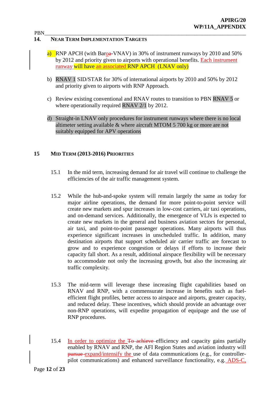#### **14. NEAR TERM IMPLEMENTATION TARGETS**

- a) RNP APCH (with Baroa-VNAV) in 30% of instrument runways by 2010 and 50% by 2012 and priority given to airports with operational benefits. Each instrument runway will have an associated RNP APCH (LNAV only)
- b) RNAV 1 SID/STAR for 30% of international airports by 2010 and 50% by 2012 and priority given to airports with RNP Approach.
- c) Review existing conventional and RNAV routes to transition to PBN RNAV 5 or where operationally required RNAV 2/1 by 2012.
- d) Straight-in LNAV only procedures for instrument runways where there is no local altimeter setting available & where aircraft MTOM 5 700 kg or more are not suitably equipped for APV operations

#### **15 MID TERM (2013-2016) PRIORITIES**

- 15.1 In the mid term, increasing demand for air travel will continue to challenge the efficiencies of the air traffic management system.
- 15.2 While the hub-and-spoke system will remain largely the same as today for major airline operations, the demand for more point-to-point service will create new markets and spur increases in low-cost carriers, air taxi operations, and on-demand services. Additionally, the emergence of VLJs is expected to create new markets in the general and business aviation sectors for personal, air taxi, and point-to-point passenger operations. Many airports will thus experience significant increases in unscheduled traffic. In addition, many destination airports that support scheduled air carrier traffic are forecast to grow and to experience congestion or delays if efforts to increase their capacity fall short. As a result, additional airspace flexibility will be necessary to accommodate not only the increasing growth, but also the increasing air traffic complexity.
- 15.3 The mid-term will leverage these increasing flight capabilities based on RNAV and RNP, with a commensurate increase in benefits such as fuelefficient flight profiles, better access to airspace and airports, greater capacity, and reduced delay. These incentives, which should provide an advantage over non-RNP operations, will expedite propagation of equipage and the use of RNP procedures.
- 15.4 In order to optimize the To achieve efficiency and capacity gains partially enabled by RNAV and RNP, the AFI Region States and aviation industry will pursue expand/intensify the use of data communications (e.g., for controllerpilot communications) and enhanced surveillance functionality, e.g. ADS-C,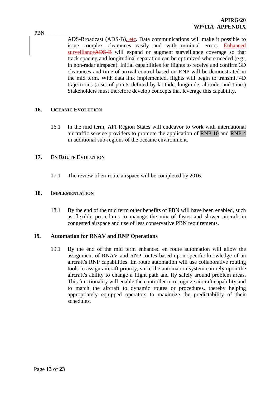PBN\_\_\_\_\_\_\_\_\_\_\_\_\_\_\_\_\_\_\_\_\_\_\_\_\_\_\_\_\_\_\_\_\_\_\_\_\_\_\_\_\_\_\_\_\_\_\_\_\_\_\_\_\_\_\_\_\_\_\_\_\_\_\_\_\_\_\_\_\_\_\_\_\_\_\_\_\_\_ ADS-Broadcast (ADS-B), etc. Data communications will make it possible to issue complex clearances easily and with minimal errors. Enhanced surveillanceADS-B will expand or augment surveillance coverage so that track spacing and longitudinal separation can be optimized where needed (e.g., in non-radar airspace). Initial capabilities for flights to receive and confirm 3D clearances and time of arrival control based on RNP will be demonstrated in the mid term. With data link implemented, flights will begin to transmit 4D trajectories (a set of points defined by latitude, longitude, altitude, and time.) Stakeholders must therefore develop concepts that leverage this capability.

#### **16. OCEANIC EVOLUTION**

16.1 In the mid term, AFI Region States will endeavor to work with international air traffic service providers to promote the application of RNP 10 and RNP 4 in additional sub-regions of the oceanic environment.

#### **17. EN ROUTE EVOLUTION**

17.1 The review of en-route airspace will be completed by 2016.

#### **18. IMPLEMENTATION**

18.1 By the end of the mid term other benefits of PBN will have been enabled, such as flexible procedures to manage the mix of faster and slower aircraft in congested airspace and use of less conservative PBN requirements.

#### **19. Automation for RNAV and RNP Operations**

19.1 By the end of the mid term enhanced en route automation will allow the assignment of RNAV and RNP routes based upon specific knowledge of an aircraft's RNP capabilities. En route automation will use collaborative routing tools to assign aircraft priority, since the automation system can rely upon the aircraft's ability to change a flight path and fly safely around problem areas. This functionality will enable the controller to recognize aircraft capability and to match the aircraft to dynamic routes or procedures, thereby helping appropriately equipped operators to maximize the predictability of their schedules.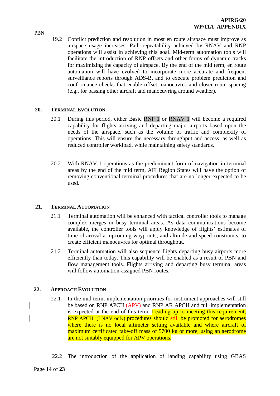PBN\_\_\_\_\_\_\_\_\_\_\_\_\_\_\_\_\_\_\_\_\_\_\_\_\_\_\_\_\_\_\_\_\_\_\_\_\_\_\_\_\_\_\_\_\_\_\_\_\_\_\_\_\_\_\_\_\_\_\_\_\_\_\_\_\_\_\_\_\_\_\_\_\_\_\_\_\_\_ 19.2 Conflict prediction and resolution in most en route airspace must improve as airspace usage increases. Path repeatability achieved by RNAV and RNP operations will assist in achieving this goal. Mid-term automation tools will facilitate the introduction of RNP offsets and other forms of dynamic tracks for maximizing the capacity of airspace. By the end of the mid term, en route automation will have evolved to incorporate more accurate and frequent surveillance reports through ADS-B, and to execute problem prediction and conformance checks that enable offset manoeuvres and closer route spacing (e.g., for passing other aircraft and manoeuvring around weather).

#### **20. TERMINAL EVOLUTION**

- 20.1 During this period, either Basic RNP 1 or RNAV 1 will become a required capability for flights arriving and departing major airports based upon the needs of the airspace, such as the volume of traffic and complexity of operations. This will ensure the necessary throughput and access, as well as reduced controller workload, while maintaining safety standards.
- 20.2 With RNAV-1 operations as the predominant form of navigation in terminal areas by the end of the mid term, AFI Region States will have the option of removing conventional terminal procedures that are no longer expected to be used.

#### **21. TERMINAL AUTOMATION**

- 21.1 Terminal automation will be enhanced with tactical controller tools to manage complex merges in busy terminal areas. As data communications become available, the controller tools will apply knowledge of flights' estimates of time of arrival at upcoming waypoints, and altitude and speed constraints, to create efficient manoeuvres for optimal throughput.
- 21.2 Terminal automation will also sequence flights departing busy airports more efficiently than today. This capability will be enabled as a result of PBN and flow management tools. Flights arriving and departing busy terminal areas will follow automation-assigned PBN routes.

#### **22. APPROACH EVOLUTION**

- 22.1 In the mid term, implementation priorities for instrument approaches will still be based on RNP APCH (APV) and RNP AR APCH and full implementation is expected at the end of this term. Leading up to meeting this requirement, RNP APCH (LNAV only) procedures should still be promoted for aerodromes where there is no local altimeter setting available and where aircraft of maximum certificated take-off mass of 5700 kg or more, using an aerodrome are not suitably equipped for APV operations.
- 22.2 The introduction of the application of landing capability using GBAS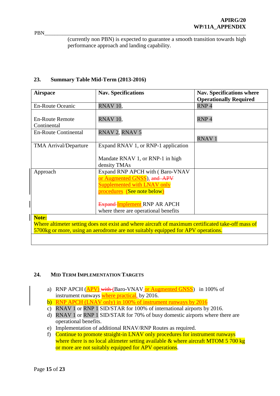(currently non PBN) is expected to guarantee a smooth transition towards high performance approach and landing capability.

#### **23. Summary Table Mid-Term (2013-2016)**

| <b>Airspace</b>                                                                                    | <b>Nav. Specifications</b>           | <b>Nav. Specifications where</b> |  |  |
|----------------------------------------------------------------------------------------------------|--------------------------------------|----------------------------------|--|--|
|                                                                                                    |                                      | <b>Operationally Required</b>    |  |  |
| <b>En-Route Oceanic</b>                                                                            | RNAV <sub>10</sub> ,                 | RNP <sub>4</sub>                 |  |  |
| <b>En-Route Remote</b>                                                                             | RNAV <sub>10</sub> ,                 | RNP <sub>4</sub>                 |  |  |
| Continental                                                                                        |                                      |                                  |  |  |
| <b>En-Route Continental</b>                                                                        | RNAV 2, RNAV 5                       |                                  |  |  |
|                                                                                                    |                                      | <b>RNAV1</b>                     |  |  |
| <b>TMA Arrival/Departure</b>                                                                       | Expand RNAV 1, or RNP-1 application  |                                  |  |  |
|                                                                                                    |                                      |                                  |  |  |
|                                                                                                    | Mandate RNAV 1, or RNP-1 in high     |                                  |  |  |
|                                                                                                    | density TMAs                         |                                  |  |  |
| Approach                                                                                           | Expand RNP APCH with (Baro-VNAV)     |                                  |  |  |
|                                                                                                    | or Augmented GNSS), and APV          |                                  |  |  |
|                                                                                                    | <b>Supplemented with LNAV only</b>   |                                  |  |  |
|                                                                                                    | procedures (See note below)          |                                  |  |  |
|                                                                                                    |                                      |                                  |  |  |
|                                                                                                    | <b>Expand-Implement RNP AR APCH</b>  |                                  |  |  |
|                                                                                                    | where there are operational benefits |                                  |  |  |
| Note:                                                                                              |                                      |                                  |  |  |
| Where altimeter setting does not exist and where aircraft of maximum certificated take-off mass of |                                      |                                  |  |  |
| 5700kg or more, using an aerodrome are not suitably equipped for APV operations.                   |                                      |                                  |  |  |
|                                                                                                    |                                      |                                  |  |  |

#### **24. MID TERM IMPLEMENTATION TARGETS**

- a) RNP APCH (APV) with (Baro-VNAV or Augmented GNSS) in 100% of instrument runways where practical, by 2016.
- b) RNP APCH (LNAV only) in 100% of instrument runways by 2016
- c) RNAV 1 or RNP 1 SID/STAR for 100% of international airports by 2016.
- d) RNAV 1 or RNP 1 SID/STAR for 70% of busy domestic airports where there are operational benefits.
- e) Implementation of additional RNAV/RNP Routes as required.
- f) Continue to promote straight-in LNAV only procedures for instrument runways where there is no local altimeter setting available  $\&$  where aircraft MTOM 5 700 kg or more are not suitably equipped for APV operations.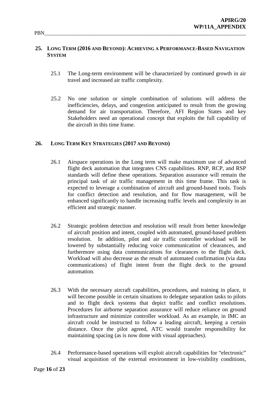#### **25. LONG TERM (2016 AND BEYOND): ACHIEVING A PERFORMANCE-BASED NAVIGATION SYSTEM**

- 25.1 The Long-term environment will be characterized by continued growth in air travel and increased air traffic complexity.
- 25.2 No one solution or simple combination of solutions will address the inefficiencies, delays, and congestion anticipated to result from the growing demand for air transportation. Therefore, AFI Region States and key Stakeholders need an operational concept that exploits the full capability of the aircraft in this time frame.

#### **26. LONG TERM KEY STRATEGIES (2017 AND BEYOND)**

- 26.1 Airspace operations in the Long term will make maximum use of advanced flight deck automation that integrates CNS capabilities. RNP, RCP, and RSP standards will define these operations. Separation assurance will remain the principal task of air traffic management in this time frame. This task is expected to leverage a combination of aircraft and ground-based tools. Tools for conflict detection and resolution, and for flow management, will be enhanced significantly to handle increasing traffic levels and complexity in an efficient and strategic manner.
- 26.2 Strategic problem detection and resolution will result from better knowledge of aircraft position and intent, coupled with automated, ground-based problem resolution. In addition, pilot and air traffic controller workload will be lowered by substantially reducing voice communication of clearances, and furthermore using data communications for clearances to the flight deck. Workload will also decrease as the result of automated confirmation (via data communications) of flight intent from the flight deck to the ground automation.
- 26.3 With the necessary aircraft capabilities, procedures, and training in place, it will become possible in certain situations to delegate separation tasks to pilots and to flight deck systems that depict traffic and conflict resolutions. Procedures for airborne separation assurance will reduce reliance on ground infrastructure and minimize controller workload. As an example, in IMC an aircraft could be instructed to follow a leading aircraft, keeping a certain distance. Once the pilot agreed, ATC would transfer responsibility for maintaining spacing (as is now done with visual approaches).
- 26.4 Performance-based operations will exploit aircraft capabilities for "electronic" visual acquisition of the external environment in low-visibility conditions,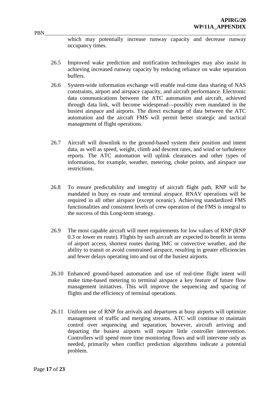PBN\_\_\_\_\_\_\_\_\_\_\_\_\_\_\_\_\_\_\_\_\_\_\_\_\_\_\_\_\_\_\_\_\_\_\_\_\_\_\_\_\_\_\_\_\_\_\_\_\_\_\_\_\_\_\_\_\_\_\_\_\_\_\_\_\_\_\_\_\_\_\_\_\_\_\_\_\_\_ which may potentially increase runway capacity and decrease runway occupancy times.

- 26.5 Improved wake prediction and notification technologies may also assist in achieving increased runway capacity by reducing reliance on wake separation buffers.
- 26.6 System-wide information exchange will enable real-time data sharing of NAS constraints, airport and airspace capacity, and aircraft performance. Electronic data communications between the ATC automation and aircraft, achieved through data link, will become widespread—possibly even mandated in the busiest airspace and airports. The direct exchange of data between the ATC automation and the aircraft FMS will permit better strategic and tactical management of flight operations.
- 26.7 Aircraft will downlink to the ground-based system their position and intent data, as well as speed, weight, climb and descent rates, and wind or turbulence reports. The ATC automation will uplink clearances and other types of information, for example, weather, metering, choke points, and airspace use restrictions.
- 26.8 To ensure predictability and integrity of aircraft flight path, RNP will be mandated in busy en route and terminal airspace. RNAV operations will be required in all other airspace (except oceanic). Achieving standardized FMS functionalities and consistent levels of crew operation of the FMS is integral to the success of this Long-term strategy.
- 26.9 The most capable aircraft will meet requirements for low values of RNP (RNP 0.3 or lower en route). Flights by such aircraft are expected to benefit in terms of airport access, shortest routes during IMC or convective weather, and the ability to transit or avoid constrained airspace, resulting in greater efficiencies and fewer delays operating into and out of the busiest airports.
- 26.10 Enhanced ground-based automation and use of real-time flight intent will make time-based metering to terminal airspace a key feature of future flow management initiatives. This will improve the sequencing and spacing of flights and the efficiency of terminal operations.
- 26.11 Uniform use of RNP for arrivals and departures at busy airports will optimize management of traffic and merging streams. ATC will continue to maintain control over sequencing and separation; however, aircraft arriving and departing the busiest airports will require little controller intervention. Controllers will spend more time monitoring flows and will intervene only as needed, primarily when conflict prediction algorithms indicate a potential problem.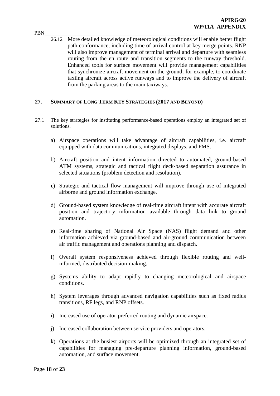PBN\_\_\_\_\_\_\_\_\_\_\_\_\_\_\_\_\_\_\_\_\_\_\_\_\_\_\_\_\_\_\_\_\_\_\_\_\_\_\_\_\_\_\_\_\_\_\_\_\_\_\_\_\_\_\_\_\_\_\_\_\_\_\_\_\_\_\_\_\_\_\_\_\_\_\_\_\_\_ 26.12 More detailed knowledge of meteorological conditions will enable better flight path conformance, including time of arrival control at key merge points. RNP will also improve management of terminal arrival and departure with seamless routing from the en route and transition segments to the runway threshold. Enhanced tools for surface movement will provide management capabilities that synchronize aircraft movement on the ground; for example, to coordinate taxiing aircraft across active runways and to improve the delivery of aircraft from the parking areas to the main taxiways.

#### **27. SUMMARY OF LONG TERM KEY STRATEGIES (2017 AND BEYOND)**

- 27.1 The key strategies for instituting performance-based operations employ an integrated set of solutions.
	- a) Airspace operations will take advantage of aircraft capabilities, i.e. aircraft equipped with data communications, integrated displays, and FMS.
	- b) Aircraft position and intent information directed to automated, ground-based ATM systems, strategic and tactical flight deck-based separation assurance in selected situations (problem detection and resolution).
	- **c)** Strategic and tactical flow management will improve through use of integrated airborne and ground information exchange.
	- d) Ground-based system knowledge of real-time aircraft intent with accurate aircraft position and trajectory information available through data link to ground automation.
	- e) Real-time sharing of National Air Space (NAS) flight demand and other information achieved via ground-based and air-ground communication between air traffic management and operations planning and dispatch.
	- f) Overall system responsiveness achieved through flexible routing and wellinformed, distributed decision-making.
	- g) Systems ability to adapt rapidly to changing meteorological and airspace conditions.
	- h) System leverages through advanced navigation capabilities such as fixed radius transitions, RF legs, and RNP offsets.
	- i) Increased use of operator-preferred routing and dynamic airspace.
	- j) Increased collaboration between service providers and operators.
	- k) Operations at the busiest airports will be optimized through an integrated set of capabilities for managing pre-departure planning information, ground-based automation, and surface movement.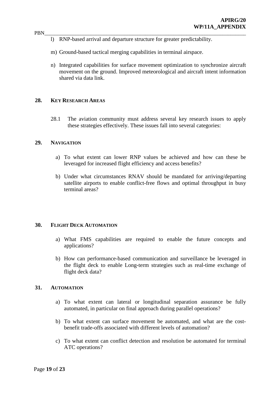- PBN\_\_\_\_\_\_\_\_\_\_\_\_\_\_\_\_\_\_\_\_\_\_\_\_\_\_\_\_\_\_\_\_\_\_\_\_\_\_\_\_\_\_\_\_\_\_\_\_\_\_\_\_\_\_\_\_\_\_\_\_\_\_\_\_\_\_\_\_\_\_\_\_\_\_\_\_\_\_ l) RNP-based arrival and departure structure for greater predictability.
	- m) Ground-based tactical merging capabilities in terminal airspace.
	- n) Integrated capabilities for surface movement optimization to synchronize aircraft movement on the ground. Improved meteorological and aircraft intent information shared via data link.

#### **28. KEY RESEARCH AREAS**

28.1 The aviation community must address several key research issues to apply these strategies effectively. These issues fall into several categories:

#### **29. NAVIGATION**

- a) To what extent can lower RNP values be achieved and how can these be leveraged for increased flight efficiency and access benefits?
- b) Under what circumstances RNAV should be mandated for arriving/departing satellite airports to enable conflict-free flows and optimal throughput in busy terminal areas?

#### **30. FLIGHT DECK AUTOMATION**

- a) What FMS capabilities are required to enable the future concepts and applications?
- b) How can performance-based communication and surveillance be leveraged in the flight deck to enable Long-term strategies such as real-time exchange of flight deck data?

#### **31. AUTOMATION**

- a) To what extent can lateral or longitudinal separation assurance be fully automated, in particular on final approach during parallel operations?
- b) To what extent can surface movement be automated, and what are the costbenefit trade-offs associated with different levels of automation?
- c) To what extent can conflict detection and resolution be automated for terminal ATC operations?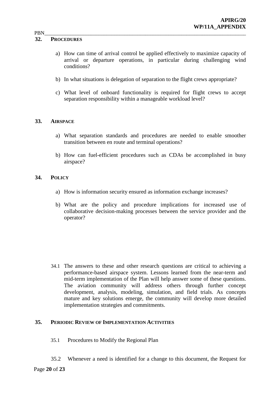#### **32. PROCEDURES**

- a) How can time of arrival control be applied effectively to maximize capacity of arrival or departure operations, in particular during challenging wind conditions?
- b) In what situations is delegation of separation to the flight crews appropriate?
- c) What level of onboard functionality is required for flight crews to accept separation responsibility within a manageable workload level?

#### **33. AIRSPACE**

- a) What separation standards and procedures are needed to enable smoother transition between en route and terminal operations?
- b) How can fuel-efficient procedures such as CDAs be accomplished in busy airspace?

#### **34. POLICY**

- a) How is information security ensured as information exchange increases?
- b) What are the policy and procedure implications for increased use of collaborative decision-making processes between the service provider and the operator?

34.1 The answers to these and other research questions are critical to achieving a performance-based airspace system. Lessons learned from the near-term and mid-term implementation of the Plan will help answer some of these questions. The aviation community will address others through further concept development, analysis, modeling, simulation, and field trials. As concepts mature and key solutions emerge, the community will develop more detailed implementation strategies and commitments.

#### **35. PERIODIC REVIEW OF IMPLEMENTATION ACTIVITIES**

- 35.1 Procedures to Modify the Regional Plan
- 35.2 Whenever a need is identified for a change to this document, the Request for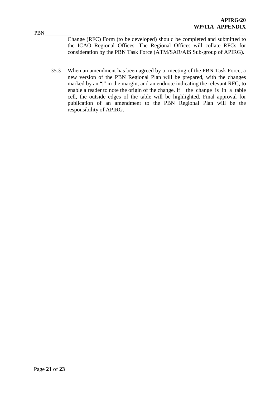PBN\_\_\_\_\_\_\_\_\_\_\_\_\_\_\_\_\_\_\_\_\_\_\_\_\_\_\_\_\_\_\_\_\_\_\_\_\_\_\_\_\_\_\_\_\_\_\_\_\_\_\_\_\_\_\_\_\_\_\_\_\_\_\_\_\_\_\_\_\_\_\_\_\_\_\_\_\_\_ Change (RFC) Form (to be developed) should be completed and submitted to the ICAO Regional Offices. The Regional Offices will collate RFCs for consideration by the PBN Task Force (ATM/SAR/AIS Sub-group of APIRG).

35.3 When an amendment has been agreed by a meeting of the PBN Task Force, a new version of the PBN Regional Plan will be prepared, with the changes marked by an "|" in the margin, and an endnote indicating the relevant RFC, to enable a reader to note the origin of the change. If the change is in a table cell, the outside edges of the table will be highlighted. Final approval for publication of an amendment to the PBN Regional Plan will be the responsibility of APIRG.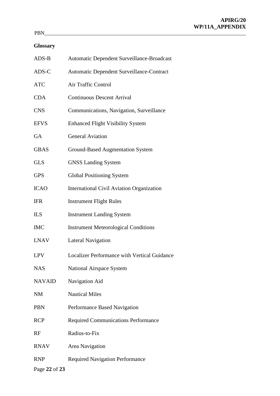### **Glossary**

| $ADS-B$       | Automatic Dependent Surveillance-Broadcast          |
|---------------|-----------------------------------------------------|
| ADS-C         | Automatic Dependent Surveillance-Contract           |
| <b>ATC</b>    | Air Traffic Control                                 |
| <b>CDA</b>    | <b>Continuous Descent Arrival</b>                   |
| <b>CNS</b>    | Communications, Navigation, Surveillance            |
| <b>EFVS</b>   | <b>Enhanced Flight Visibility System</b>            |
| <b>GA</b>     | <b>General Aviation</b>                             |
| <b>GBAS</b>   | <b>Ground-Based Augmentation System</b>             |
| <b>GLS</b>    | <b>GNSS Landing System</b>                          |
| <b>GPS</b>    | <b>Global Positioning System</b>                    |
| <b>ICAO</b>   | <b>International Civil Aviation Organization</b>    |
| <b>IFR</b>    | <b>Instrument Flight Rules</b>                      |
| <b>ILS</b>    | <b>Instrument Landing System</b>                    |
| <b>IMC</b>    | <b>Instrument Meteorological Conditions</b>         |
| <b>LNAV</b>   | <b>Lateral Navigation</b>                           |
| <b>LPV</b>    | <b>Localizer Performance with Vertical Guidance</b> |
| <b>NAS</b>    | <b>National Airspace System</b>                     |
| <b>NAVAID</b> | Navigation Aid                                      |
| <b>NM</b>     | <b>Nautical Miles</b>                               |
| <b>PBN</b>    | Performance Based Navigation                        |
| <b>RCP</b>    | <b>Required Communications Performance</b>          |
| RF            | Radius-to-Fix                                       |
| <b>RNAV</b>   | Area Navigation                                     |
| <b>RNP</b>    | <b>Required Navigation Performance</b>              |
| Page 22 of 23 |                                                     |

#### PBN\_\_\_\_\_\_\_\_\_\_\_\_\_\_\_\_\_\_\_\_\_\_\_\_\_\_\_\_\_\_\_\_\_\_\_\_\_\_\_\_\_\_\_\_\_\_\_\_\_\_\_\_\_\_\_\_\_\_\_\_\_\_\_\_\_\_\_\_\_\_\_\_\_\_\_\_\_\_